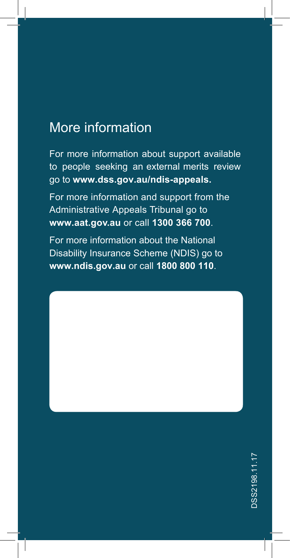#### More information

For more information about support available to people seeking an external merits review go to **www.dss.gov.au/ndis-appeals.**

For more information and support from the Administrative Appeals Tribunal go to **www.aat.gov.au** or call **1300 366 700**.

For more information about the National Disability Insurance Scheme (NDIS) go to **www.ndis.gov.au** or call **1800 800 110**.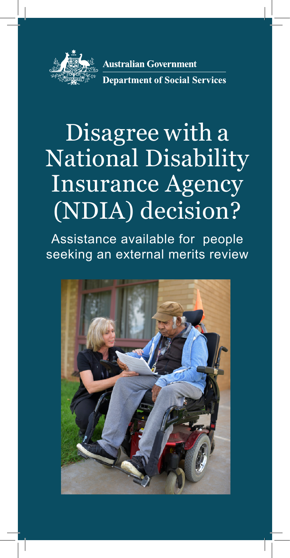

# Disagree with a National Disability Insurance Agency (NDIA) decision?

Assistance available for people seeking an external merits review

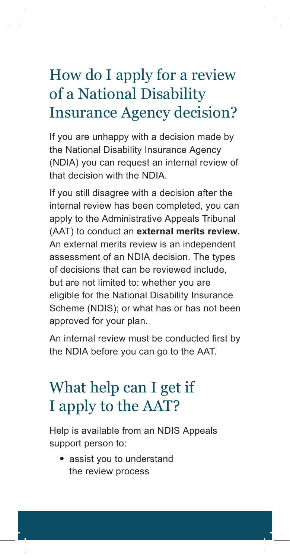## How do I apply for a review of a National Disability Insurance Agency decision?

If you are unhappy with a decision made by the National Disability Insurance Agency (NDIA) you can request an internal review of that decision with the NDIA.

If you still disagree with a decision after the internal review has been completed, you can apply to the Administrative Appeals Tribunal (AAT) to conduct an **external merits review.** An external merits review is an independent assessment of an NDIA decision. The types of decisions that can be reviewed include, but are not limited to: whether you are eligible for the National Disability Insurance Scheme (NDIS); or what has or has not been approved for your plan.

An internal review must be conducted first by the NDIA before you can go to the AAT.

### What help can I get if I apply to the AAT?

Help is available from an NDIS Appeals support person to:

• assist you to understand the review process